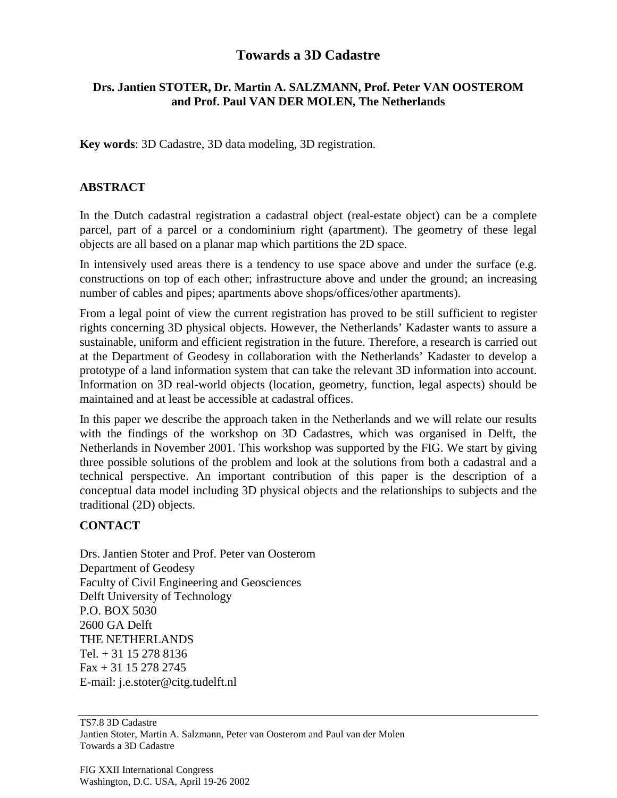## **Towards a 3D Cadastre**

## **Drs. Jantien STOTER, Dr. Martin A. SALZMANN, Prof. Peter VAN OOSTEROM and Prof. Paul VAN DER MOLEN, The Netherlands**

**Key words**: 3D Cadastre, 3D data modeling, 3D registration.

## **ABSTRACT**

In the Dutch cadastral registration a cadastral object (real-estate object) can be a complete parcel, part of a parcel or a condominium right (apartment). The geometry of these legal objects are all based on a planar map which partitions the 2D space.

In intensively used areas there is a tendency to use space above and under the surface (e.g. constructions on top of each other; infrastructure above and under the ground; an increasing number of cables and pipes; apartments above shops/offices/other apartments).

From a legal point of view the current registration has proved to be still sufficient to register rights concerning 3D physical objects. However, the Netherlands' Kadaster wants to assure a sustainable, uniform and efficient registration in the future. Therefore, a research is carried out at the Department of Geodesy in collaboration with the Netherlands' Kadaster to develop a prototype of a land information system that can take the relevant 3D information into account. Information on 3D real-world objects (location, geometry, function, legal aspects) should be maintained and at least be accessible at cadastral offices.

In this paper we describe the approach taken in the Netherlands and we will relate our results with the findings of the workshop on 3D Cadastres, which was organised in Delft, the Netherlands in November 2001. This workshop was supported by the FIG. We start by giving three possible solutions of the problem and look at the solutions from both a cadastral and a technical perspective. An important contribution of this paper is the description of a conceptual data model including 3D physical objects and the relationships to subjects and the traditional (2D) objects.

## **CONTACT**

Drs. Jantien Stoter and Prof. Peter van Oosterom Department of Geodesy Faculty of Civil Engineering and Geosciences Delft University of Technology P.O. BOX 5030 2600 GA Delft THE NETHERLANDS Tel. + 31 15 278 8136 Fax + 31 15 278 2745 E-mail: j.e.stoter@citg.tudelft.nl

TS7.8 3D Cadastre Jantien Stoter, Martin A. Salzmann, Peter van Oosterom and Paul van der Molen Towards a 3D Cadastre